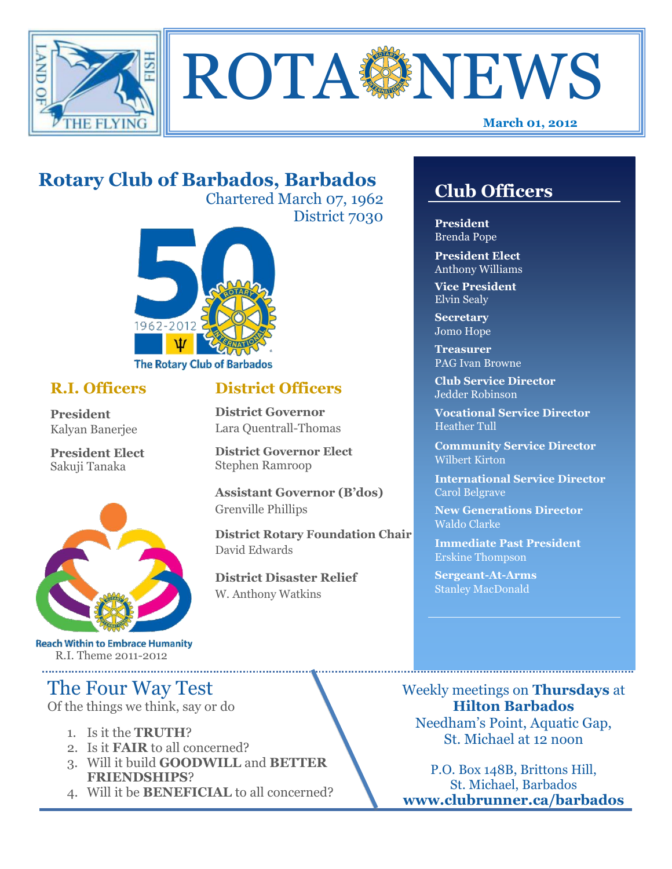



# **Rotary Club of Barbados, Barbados**

Chartered March 07, 1962 District 7030

**District Officers**

**District Governor Elect**

**District Disaster Relief**

W. Anthony Watkins

**Assistant Governor (B'dos)**

**District Rotary Foundation Chair**

**District Governor** Lara Quentrall-Thomas

Stephen Ramroop

Grenville Phillips

David Edwards



### **R.I. Officers**

**President**  Kalyan Banerjee

**President Elect** Sakuji Tanaka



**Reach Within to Embrace Humanity** R.I. Theme 2011-2012

# The Four Way Test

Of the things we think, say or do

- 1. Is it the **TRUTH**?
- 2. Is it **FAIR** to all concerned?
- 3. Will it build **GOODWILL** and **BETTER FRIENDSHIPS**?
- 4. Will it be **BENEFICIAL** to all concerned?

# **Club Officers**

**Club Officers** 

**President** Brenda Pope

**President Elect** Anthony Williams

**Vice President** Elvin Sealy

**Secretary** Jomo Hope

**Treasurer** PAG Ivan Browne

**Club Service Director** Jedder Robinson

**Vocational Service Director** Heather Tull

**Community Service Director** Wilbert Kirton

**International Service Director** Carol Belgrave

**New Generations Director** Waldo Clarke

**Immediate Past President** Erskine Thompson

**Sergeant-At-Arms** Stanley MacDonald

Weekly meetings on **Thursdays** at **Hilton Barbados** Needham's Point, Aquatic Gap, St. Michael at 12 noon

P.O. Box 148B, Brittons Hill, St. Michael, Barbados **www.clubrunner.ca/barbados**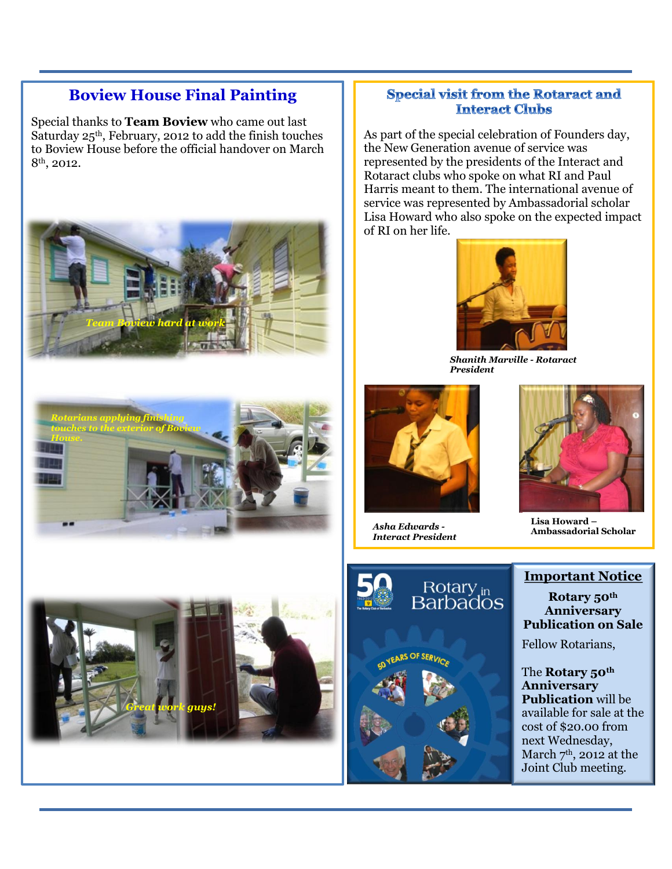### **Boview House Final Painting**

Special thanks to **Team Boview** who came out last Saturday 25<sup>th</sup>, February, 2012 to add the finish touches to Boview House before the official handover on March 8th, 2012.





#### **Special visit from the Rotaract and Interact Clubs**

As part of the special celebration of Founders day, the New Generation avenue of service was represented by the presidents of the Interact and Rotaract clubs who spoke on what RI and Paul Harris meant to them. The international avenue of service was represented by Ambassadorial scholar Lisa Howard who also spoke on the expected impact of RI on her life.



*Shanith Marville - Rotaract President*



*Asha Edwards - Interact President*



**Lisa Howard – Ambassadorial Scholar**





#### **Important Notice**

**Rotary 50th Anniversary Publication on Sale**

Fellow Rotarians,

The **Rotary 50th Anniversary Publication** will be available for sale at the cost of \$20.00 from next Wednesday, March  $7<sup>th</sup>$ , 2012 at the Joint Club meeting.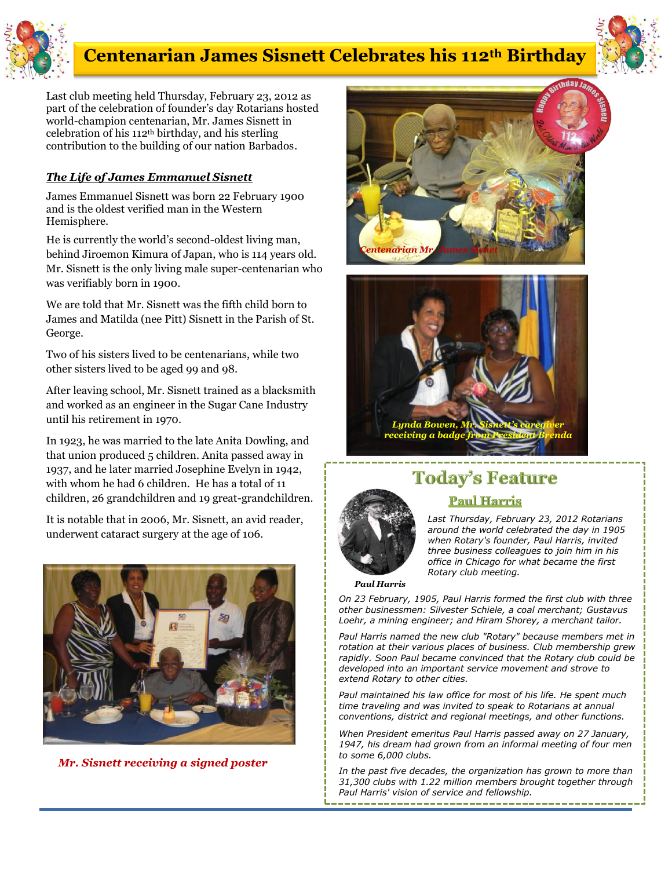

# *Elvin Bond!* **Centenarian James Sisnett Celebrates his 112th Birthday**



Last club meeting held Thursday, February 23, 2012 as part of the celebration of founder's day Rotarians hosted world-champion centenarian, Mr. James Sisnett in celebration of his 112th birthday, and his sterling contribution to the building of our nation Barbados*.*

#### *The Life of James Emmanuel Sisnett*

James Emmanuel Sisnett was born 22 February 1900 and is the oldest verified man in the Western Hemisphere.

He is currently the world's second-oldest living man, behind Jiroemon Kimura of Japan, who is 114 years old. Mr. Sisnett is the only living male super-centenarian who was verifiably born in 1900.

We are told that Mr. Sisnett was the fifth child born to James and Matilda (nee Pitt) Sisnett in the Parish of St. George.

Two of his sisters lived to be centenarians, while two other sisters lived to be aged 99 and 98.

After leaving school, Mr. Sisnett trained as a blacksmith and worked as an engineer in the Sugar Cane Industry until his retirement in 1970.

In 1923, he was married to the late Anita Dowling, and that union produced 5 children. Anita passed away in 1937, and he later married Josephine Evelyn in 1942, with whom he had 6 children. He has a total of 11 children, 26 grandchildren and 19 great-grandchildren.

It is notable that in 2006, Mr. Sisnett, an avid reader, underwent cataract surgery at the age of 106.



*Mr. Sisnett receiving a signed poster*





## **Today's Feature Paul Harris**



*Last Thursday, February 23, 2012 Rotarians around the world celebrated the day in 1905 when Rotary's founder, Paul Harris, invited three business colleagues to join him in his office in Chicago for what became the first Rotary club meeting.*

*Paul Harris*

*On 23 February, 1905, Paul Harris formed the first club with three other businessmen: Silvester Schiele, a coal merchant; Gustavus Loehr, a mining engineer; and Hiram Shorey, a merchant tailor.* 

*Paul Harris named the new club "Rotary" because members met in rotation at their various places of business. Club membership grew rapidly. Soon Paul became convinced that the Rotary club could be developed into an important service movement and strove to extend Rotary to other cities.* 

*Paul maintained his law office for most of his life. He spent much time traveling and was invited to speak to Rotarians at annual conventions, district and regional meetings, and other functions.* 

*When President emeritus Paul Harris passed away on 27 January, 1947, his dream had grown from an informal meeting of four men to some 6,000 clubs.* 

*In the past five decades, the organization has grown to more than 31,300 clubs with 1.22 million members brought together through Paul Harris' vision of service and fellowship.* ---------------------